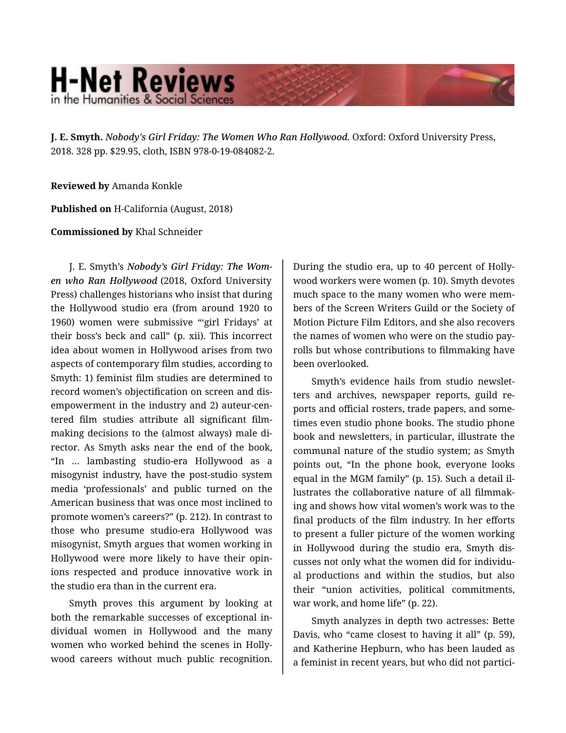## **H-Net Reviews** in the Humanities & Social Scienc

**J. E. Smyth.** *Nobody's Girl Friday: The Women Who Ran Hollywood.* Oxford: Oxford University Press, 2018. 328 pp. \$29.95, cloth, ISBN 978-0-19-084082-2.

**Reviewed by** Amanda Konkle

**Published on** H-California (August, 2018)

**Commissioned by** Khal Schneider

J. E. Smyth's *Nobody's Girl Friday: The Wom‐ en who Ran Hollywood* (2018, Oxford University Press) challenges historians who insist that during the Hollywood studio era (from around 1920 to 1960) women were submissive "'girl Fridays' at their boss's beck and call" (p. xii). This incorrect idea about women in Hollywood arises from two aspects of contemporary film studies, according to Smyth: 1) feminist film studies are determined to record women's objectification on screen and dis‐ empowerment in the industry and 2) auteur-cen‐ tered film studies attribute all significant film‐ making decisions to the (almost always) male di‐ rector. As Smyth asks near the end of the book, "In … lambasting studio-era Hollywood as a misogynist industry, have the post-studio system media 'professionals' and public turned on the American business that was once most inclined to promote women's careers?" (p. 212). In contrast to those who presume studio-era Hollywood was misogynist, Smyth argues that women working in Hollywood were more likely to have their opin‐ ions respected and produce innovative work in the studio era than in the current era.

Smyth proves this argument by looking at both the remarkable successes of exceptional in‐ dividual women in Hollywood and the many women who worked behind the scenes in Holly‐ wood careers without much public recognition.

During the studio era, up to 40 percent of Holly‐ wood workers were women (p. 10). Smyth devotes much space to the many women who were mem‐ bers of the Screen Writers Guild or the Society of Motion Picture Film Editors, and she also recovers the names of women who were on the studio pay‐ rolls but whose contributions to filmmaking have been overlooked.

Smyth's evidence hails from studio newslet‐ ters and archives, newspaper reports, guild re‐ ports and official rosters, trade papers, and some‐ times even studio phone books. The studio phone book and newsletters, in particular, illustrate the communal nature of the studio system; as Smyth points out, "In the phone book, everyone looks equal in the MGM family" (p. 15). Such a detail il‐ lustrates the collaborative nature of all filmmak‐ ing and shows how vital women's work was to the final products of the film industry. In her efforts to present a fuller picture of the women working in Hollywood during the studio era, Smyth dis‐ cusses not only what the women did for individu‐ al productions and within the studios, but also their "union activities, political commitments, war work, and home life" (p. 22).

Smyth analyzes in depth two actresses: Bette Davis, who "came closest to having it all" (p. 59), and Katherine Hepburn, who has been lauded as a feminist in recent years, but who did not partici‐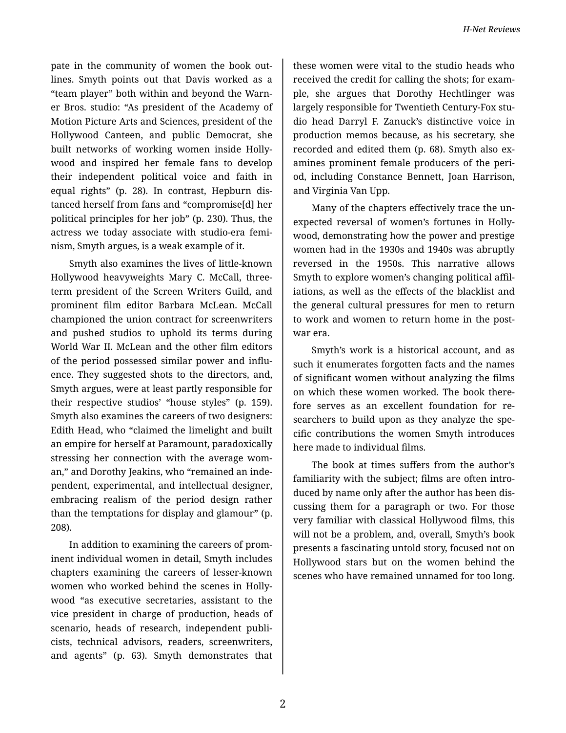pate in the community of women the book out‐ lines. Smyth points out that Davis worked as a "team player" both within and beyond the Warn‐ er Bros. studio: "As president of the Academy of Motion Picture Arts and Sciences, president of the Hollywood Canteen, and public Democrat, she built networks of working women inside Holly‐ wood and inspired her female fans to develop their independent political voice and faith in equal rights" (p. 28). In contrast, Hepburn dis‐ tanced herself from fans and "compromise[d] her political principles for her job" (p. 230). Thus, the actress we today associate with studio-era femi‐ nism, Smyth argues, is a weak example of it.

Smyth also examines the lives of little-known Hollywood heavyweights Mary C. McCall, threeterm president of the Screen Writers Guild, and prominent film editor Barbara McLean. McCall championed the union contract for screenwriters and pushed studios to uphold its terms during World War II. McLean and the other film editors of the period possessed similar power and influ‐ ence. They suggested shots to the directors, and, Smyth argues, were at least partly responsible for their respective studios' "house styles" (p. 159). Smyth also examines the careers of two designers: Edith Head, who "claimed the limelight and built an empire for herself at Paramount, paradoxically stressing her connection with the average wom‐ an," and Dorothy Jeakins, who "remained an inde‐ pendent, experimental, and intellectual designer, embracing realism of the period design rather than the temptations for display and glamour" (p. 208).

In addition to examining the careers of prom‐ inent individual women in detail, Smyth includes chapters examining the careers of lesser-known women who worked behind the scenes in Holly‐ wood "as executive secretaries, assistant to the vice president in charge of production, heads of scenario, heads of research, independent publi‐ cists, technical advisors, readers, screenwriters, and agents" (p. 63). Smyth demonstrates that

these women were vital to the studio heads who received the credit for calling the shots; for exam‐ ple, she argues that Dorothy Hechtlinger was largely responsible for Twentieth Century-Fox stu‐ dio head Darryl F. Zanuck's distinctive voice in production memos because, as his secretary, she recorded and edited them (p. 68). Smyth also ex‐ amines prominent female producers of the peri‐ od, including Constance Bennett, Joan Harrison, and Virginia Van Upp.

Many of the chapters effectively trace the un‐ expected reversal of women's fortunes in Holly‐ wood, demonstrating how the power and prestige women had in the 1930s and 1940s was abruptly reversed in the 1950s. This narrative allows Smyth to explore women's changing political affil‐ iations, as well as the effects of the blacklist and the general cultural pressures for men to return to work and women to return home in the post‐ war era.

Smyth's work is a historical account, and as such it enumerates forgotten facts and the names of significant women without analyzing the films on which these women worked. The book there‐ fore serves as an excellent foundation for re‐ searchers to build upon as they analyze the spe‐ cific contributions the women Smyth introduces here made to individual films.

The book at times suffers from the author's familiarity with the subject; films are often intro‐ duced by name only after the author has been dis‐ cussing them for a paragraph or two. For those very familiar with classical Hollywood films, this will not be a problem, and, overall, Smyth's book presents a fascinating untold story, focused not on Hollywood stars but on the women behind the scenes who have remained unnamed for too long.

2